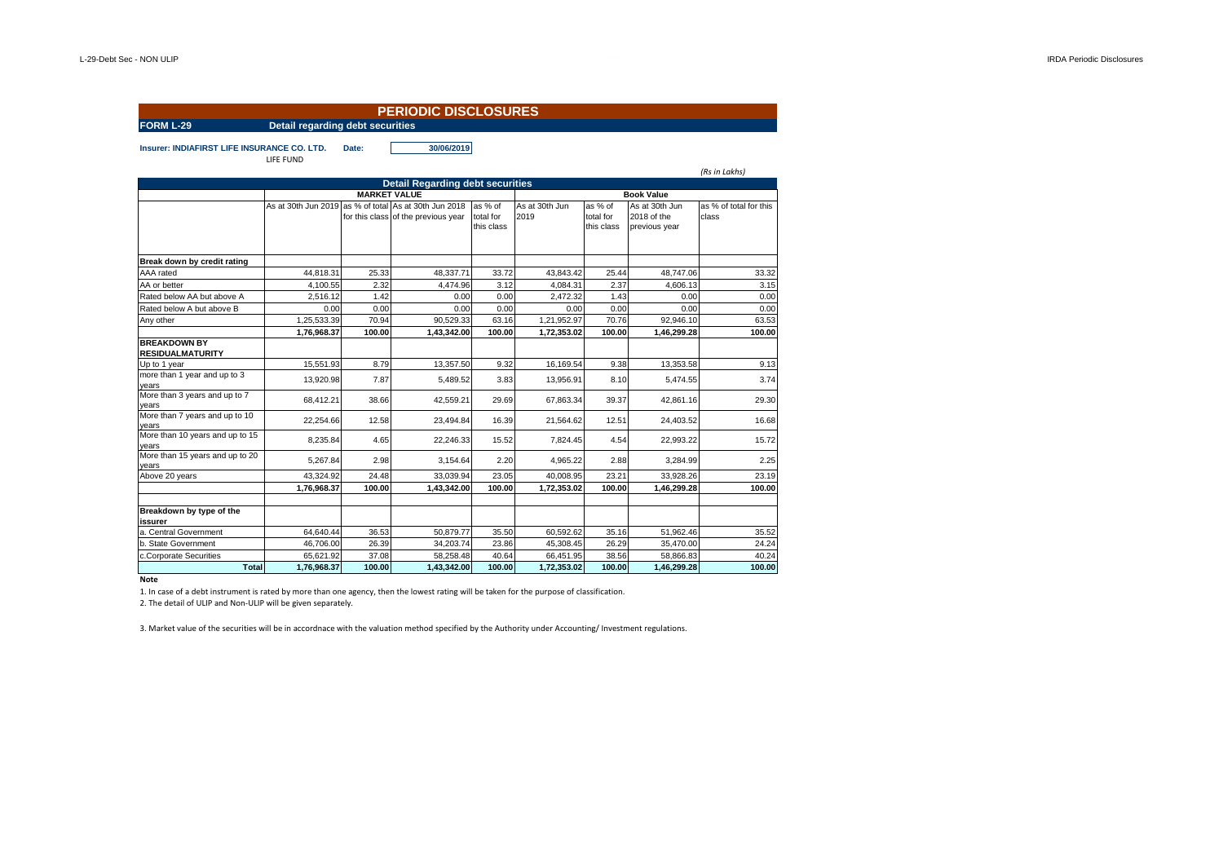|                                                |                                         |        | <b>PERIODIC DISCLOSURES</b>                                                                  |                                    |                        |                                    |                                                |                                 |  |  |
|------------------------------------------------|-----------------------------------------|--------|----------------------------------------------------------------------------------------------|------------------------------------|------------------------|------------------------------------|------------------------------------------------|---------------------------------|--|--|
| <b>FORM L-29</b>                               | <b>Detail regarding debt securities</b> |        |                                                                                              |                                    |                        |                                    |                                                |                                 |  |  |
| Insurer: INDIAFIRST LIFE INSURANCE CO. LTD.    | LIFE FUND                               | Date:  | 30/06/2019                                                                                   |                                    |                        |                                    |                                                | (Rs in Lakhs)                   |  |  |
|                                                |                                         |        | <b>Detail Regarding debt securities</b>                                                      |                                    |                        |                                    |                                                |                                 |  |  |
|                                                |                                         |        | <b>MARKET VALUE</b>                                                                          |                                    | <b>Book Value</b>      |                                    |                                                |                                 |  |  |
|                                                |                                         |        | As at 30th Jun 2019 as % of total As at 30th Jun 2018<br>for this class of the previous year | as % of<br>total for<br>this class | As at 30th Jun<br>2019 | as % of<br>total for<br>this class | As at 30th Jun<br>2018 of the<br>previous year | as % of total for this<br>class |  |  |
| Break down by credit rating                    |                                         |        |                                                                                              |                                    |                        |                                    |                                                |                                 |  |  |
| AAA rated                                      | 44,818.31                               | 25.33  | 48,337.71                                                                                    | 33.72                              | 43,843.42              | 25.44                              | 48,747.06                                      | 33.32                           |  |  |
| AA or better                                   | 4,100.55                                | 2.32   | 4,474.96                                                                                     | 3.12                               | 4,084.31               | 2.37                               | 4.606.13                                       | 3.15                            |  |  |
| Rated below AA but above A                     | 2.516.12                                | 1.42   | 0.00                                                                                         | 0.00                               | 2.472.32               | 1.43                               | 0.00                                           | 0.00                            |  |  |
| Rated below A but above B                      | 0.00                                    | 0.00   | 0.00                                                                                         | 0.00                               | 0.00                   | 0.00                               | 0.00                                           | 0.00                            |  |  |
| Any other                                      | 1,25,533.39                             | 70.94  | 90.529.33                                                                                    | 63.16                              | 1,21,952.97            | 70.76                              | 92.946.10                                      | 63.53                           |  |  |
|                                                | 1,76,968.37                             | 100.00 | 1,43,342.00                                                                                  | 100.00                             | 1,72,353.02            | 100.00                             | 1,46,299.28                                    | 100.00                          |  |  |
| <b>BREAKDOWN BY</b><br><b>RESIDUALMATURITY</b> |                                         |        |                                                                                              |                                    |                        |                                    |                                                |                                 |  |  |
| Up to 1 year                                   | 15.551.93                               | 8.79   | 13.357.50                                                                                    | 9.32                               | 16.169.54              | 9.38                               | 13.353.58                                      | 9.13                            |  |  |
| more than 1 year and up to 3<br>vears          | 13,920.98                               | 7.87   | 5,489.52                                                                                     | 3.83                               | 13,956.91              | 8.10                               | 5,474.55                                       | 3.74                            |  |  |
| More than 3 years and up to 7<br>vears         | 68,412.21                               | 38.66  | 42,559.21                                                                                    | 29.69                              | 67,863.34              | 39.37                              | 42,861.16                                      | 29.30                           |  |  |
| More than 7 years and up to 10<br>years        | 22.254.66                               | 12.58  | 23.494.84                                                                                    | 16.39                              | 21.564.62              | 12.51                              | 24.403.52                                      | 16.68                           |  |  |
| More than 10 years and up to 15<br>years       | 8.235.84                                | 4.65   | 22.246.33                                                                                    | 15.52                              | 7.824.45               | 4.54                               | 22.993.22                                      | 15.72                           |  |  |
| More than 15 years and up to 20<br>vears       | 5,267.84                                | 2.98   | 3.154.64                                                                                     | 2.20                               | 4,965.22               | 2.88                               | 3.284.99                                       | 2.25                            |  |  |
| Above 20 years                                 | 43,324.92                               | 24.48  | 33,039.94                                                                                    | 23.05                              | 40,008.95              | 23.21                              | 33.928.26                                      | 23.19                           |  |  |
|                                                | 1,76,968.37                             | 100.00 | 1,43,342.00                                                                                  | 100.00                             | 1,72,353.02            | 100.00                             | 1,46,299.28                                    | 100.00                          |  |  |
|                                                |                                         |        |                                                                                              |                                    |                        |                                    |                                                |                                 |  |  |
| Breakdown by type of the<br>issurer            |                                         |        |                                                                                              |                                    |                        |                                    |                                                |                                 |  |  |
| a. Central Government                          | 64,640.44                               | 36.53  | 50.879.77                                                                                    | 35.50                              | 60.592.62              | 35.16                              | 51.962.46                                      | 35.52                           |  |  |
| b. State Government                            | 46,706.00                               | 26.39  | 34,203.74                                                                                    | 23.86                              | 45,308.45              | 26.29                              | 35,470.00                                      | 24.24                           |  |  |
| c.Corporate Securities                         | 65.621.92                               | 37.08  | 58.258.48                                                                                    | 40.64                              | 66,451.95              | 38.56                              | 58.866.83                                      | 40.24                           |  |  |
| <b>Total</b>                                   | 1,76,968.37                             | 100.00 | 1,43,342.00                                                                                  | 100.00                             | 1,72,353.02            | 100.00                             | 1,46,299.28                                    | 100.00                          |  |  |

## **Note**

1. In case of a debt instrument is rated by more than one agency, then the lowest rating will be taken for the purpose of classification.

2. The detail of ULIP and Non-ULIP will be given separately.

3. Market value of the securities will be in accordnace with the valuation method specified by the Authority under Accounting/ Investment regulations.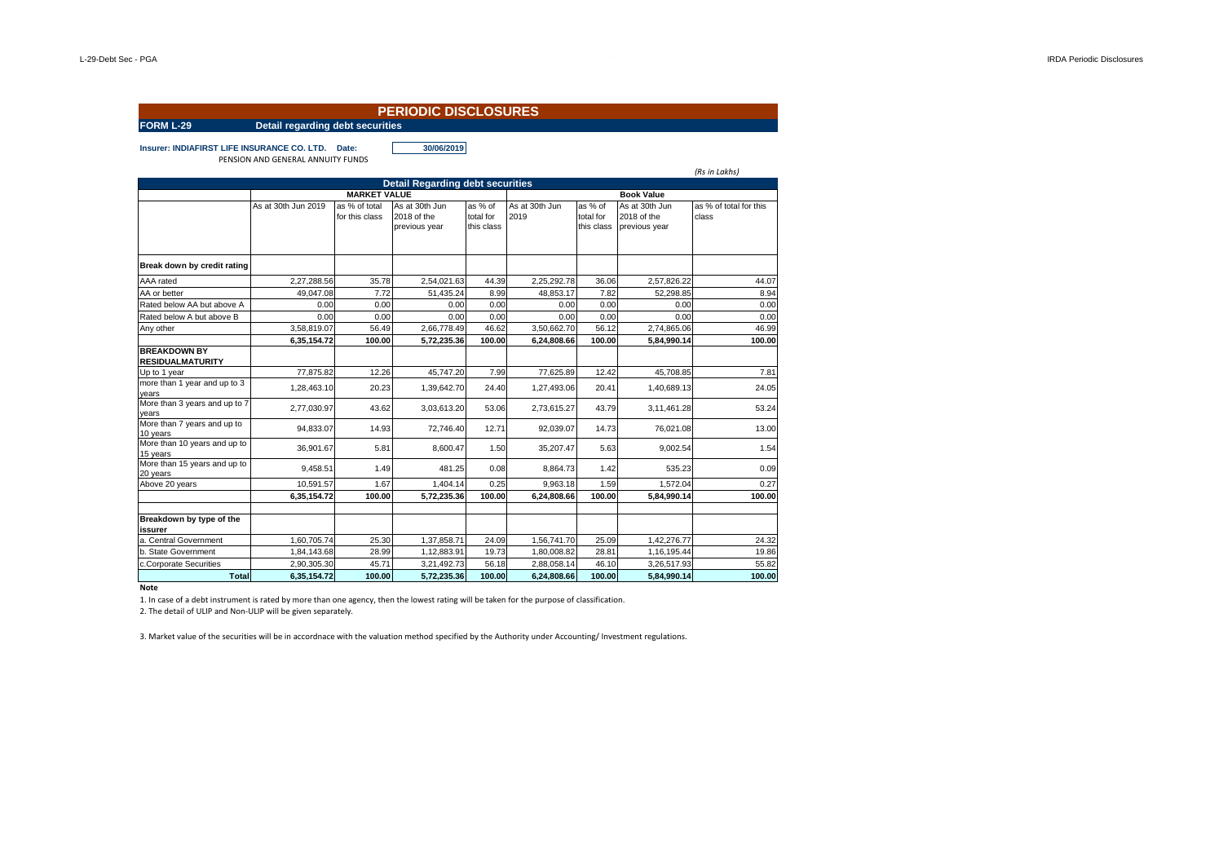|                                                |                                         |                                 | <b>PERIODIC DISCLOSURES</b>                    |                                    |                        |                                    |                                                |                                 |
|------------------------------------------------|-----------------------------------------|---------------------------------|------------------------------------------------|------------------------------------|------------------------|------------------------------------|------------------------------------------------|---------------------------------|
| <b>FORM L-29</b>                               | <b>Detail regarding debt securities</b> |                                 |                                                |                                    |                        |                                    |                                                |                                 |
| Insurer: INDIAFIRST LIFE INSURANCE CO. LTD.    | PENSION AND GENERAL ANNUITY FUNDS       | Date:                           | 30/06/2019                                     |                                    |                        |                                    |                                                | (Rs in Lakhs)                   |
|                                                |                                         |                                 | <b>Detail Regarding debt securities</b>        |                                    |                        |                                    |                                                |                                 |
|                                                |                                         | <b>MARKET VALUE</b>             |                                                |                                    |                        |                                    | <b>Book Value</b>                              |                                 |
|                                                | As at 30th Jun 2019                     | as % of total<br>for this class | As at 30th Jun<br>2018 of the<br>previous year | as % of<br>total for<br>this class | As at 30th Jun<br>2019 | as % of<br>total for<br>this class | As at 30th Jun<br>2018 of the<br>previous year | as % of total for this<br>class |
| Break down by credit rating                    |                                         |                                 |                                                |                                    |                        |                                    |                                                |                                 |
| AAA rated                                      | 2,27,288.56                             | 35.78                           | 2,54,021.63                                    | 44.39                              | 2,25,292.78            | 36.06                              | 2.57.826.22                                    | 44.07                           |
| AA or better                                   | 49.047.08                               | 7.72                            | 51.435.24                                      | 8.99                               | 48.853.17              | 7.82                               | 52,298.85                                      | 8.94                            |
| Rated below AA but above A                     | 0.00                                    | 0.00                            | 0.00                                           | 0.00                               | 0.00                   | 0.00                               | 0.00                                           | 0.00                            |
| Rated below A but above B                      | 0.00                                    | 0.00                            | 0.00                                           | 0.00                               | 0.00                   | 0.00                               | 0.00                                           | 0.00                            |
| Any other                                      | 3,58,819.07                             | 56.49                           | 2,66,778.49                                    | 46.62                              | 3.50.662.70            | 56.12                              | 2,74,865.06                                    | 46.99                           |
|                                                | 6,35,154.72                             | 100.00                          | 5,72,235.36                                    | 100.00                             | 6,24,808.66            | 100.00                             | 5,84,990.14                                    | 100.00                          |
| <b>BREAKDOWN BY</b><br><b>RESIDUALMATURITY</b> |                                         |                                 |                                                |                                    |                        |                                    |                                                |                                 |
| Up to 1 year                                   | 77,875.82                               | 12.26                           | 45,747.20                                      | 7.99                               | 77,625.89              | 12.42                              | 45,708.85                                      | 7.81                            |
| more than 1 year and up to 3<br>years          | 1,28,463.10                             | 20.23                           | 1,39,642.70                                    | 24.40                              | 1,27,493.06            | 20.41                              | 1.40.689.13                                    | 24.05                           |
| More than 3 years and up to 7<br>years         | 2.77.030.97                             | 43.62                           | 3,03,613.20                                    | 53.06                              | 2,73,615.27            | 43.79                              | 3,11,461.28                                    | 53.24                           |
| More than 7 years and up to<br>10 years        | 94,833.07                               | 14.93                           | 72,746.40                                      | 12.71                              | 92,039.07              | 14.73                              | 76,021.08                                      | 13.00                           |
| More than 10 years and up to<br>15 years       | 36,901.67                               | 5.81                            | 8,600.47                                       | 1.50                               | 35,207.47              | 5.63                               | 9,002.54                                       | 1.54                            |
| More than 15 years and up to<br>20 years       | 9,458.51                                | 1.49                            | 481.25                                         | 0.08                               | 8,864.73               | 1.42                               | 535.23                                         | 0.09                            |
| Above 20 years                                 | 10,591.57                               | 1.67                            | 1,404.14                                       | 0.25                               | 9,963.18               | 1.59                               | 1,572.04                                       | 0.27                            |
|                                                | 6,35,154.72                             | 100.00                          | 5,72,235.36                                    | 100.00                             | 6,24,808.66            | 100.00                             | 5,84,990.14                                    | 100.00                          |
| Breakdown by type of the<br>issurer            |                                         |                                 |                                                |                                    |                        |                                    |                                                |                                 |
| a. Central Government                          | 1,60,705.74                             | 25.30                           | 1,37,858.71                                    | 24.09                              | 1,56,741.70            | 25.09                              | 1,42,276.77                                    | 24.32                           |
| b. State Government                            | 1,84,143.68                             | 28.99                           | 1,12,883.91                                    | 19.73                              | 1,80,008.82            | 28.81                              | 1,16,195.44                                    | 19.86                           |
| c.Corporate Securities                         | 2.90.305.30                             | 45.71                           | 3,21,492.73                                    | 56.18                              | 2.88.058.14            | 46.10                              | 3.26.517.93                                    | 55.82                           |
| <b>Total</b>                                   | 6,35,154.72                             | 100.00                          | 5,72,235.36                                    | 100.00                             | 6,24,808.66            | 100.00                             | 5,84,990.14                                    | 100.00                          |

**Note**

1. In case of a debt instrument is rated by more than one agency, then the lowest rating will be taken for the purpose of classification.

2. The detail of ULIP and Non-ULIP will be given separately.

3. Market value of the securities will be in accordnace with the valuation method specified by the Authority under Accounting/ Investment regulations.